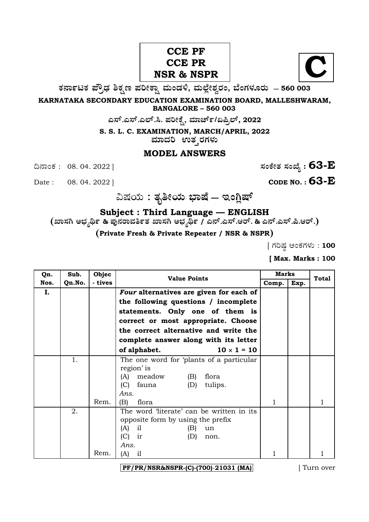## **CCE PF CCE PR NSR & NSPR**



**O⁄´¤%lO⁄ ÆË√v⁄ ÃO⁄–y Æ⁄¬fiO¤– »⁄flMs⁄ÿ, »⁄fl≈Ê«fiÀ⁄ ¡⁄M, ∑ÊMV⁄◊⁄‡¡⁄fl — 560 003** 

**KARNATAKA SECONDARY EDUCATION EXAMINATION BOARD, MALLESHWARAM, BANGALORE – 560 003** 

**G—È.G—È.G≈È.". Æ⁄¬fiOÊ⁄–, »⁄·¤^È%/HØ√≈È, 2022**

**S. S. L. C. EXAMINATION, MARCH/APRIL, 2022** 

ಮಾದರಿ ಉತ್ತರಗಳು

## **MODEL ANSWERS**

¶´¤MO⁄ : 08. 04. 2022 ] **—⁄MOÊfi}⁄ —⁄MSÊ¿ : 63-E**

**CODE NO. :** 63-E

…Œ⁄æ⁄fl **: }⁄‰~fiæ⁄fl ∫¤ŒÊ — BMW«ŒÈ**

**Subject : Third Language — ENGLISH** 

**(S¤—⁄W @∫⁄¥¿£% & Æ⁄'¥´⁄¡¤»⁄~%}⁄ S¤—⁄W @∫⁄¥¿£% / G´È.G—È.A¡È. & G´È.G—È.Ø.A¡È.)** 

**(Private Fresh & Private Repeater / NSR & NSPR)**

 $\int$  ಗರಿಷ್ಠ ಅಂಕಗಳು : 100

**[ Max. Marks : 100** 

| Qn.  | Sub.   | Objec   | <b>Value Points</b>                        | Marks |      | Total |
|------|--------|---------|--------------------------------------------|-------|------|-------|
| Nos. | Qn.No. | - tives |                                            | Comp. | Exp. |       |
| I.   |        |         | Four alternatives are given for each of    |       |      |       |
|      |        |         | the following questions / incomplete       |       |      |       |
|      |        |         | statements. Only one of them is            |       |      |       |
|      |        |         | correct or most appropriate. Choose        |       |      |       |
|      |        |         | the correct alternative and write the      |       |      |       |
|      |        |         | complete answer along with its letter      |       |      |       |
|      |        |         | $10 \times 1 = 10$<br>of alphabet.         |       |      |       |
|      | 1.     |         | The one word for plants of a particular    |       |      |       |
|      |        |         | region' is                                 |       |      |       |
|      |        |         | meadow<br>(A)<br>flora<br>(B)              |       |      |       |
|      |        |         | (C)<br>tulips.<br>fauna<br>(D)             |       |      |       |
|      |        |         | Ans.                                       |       |      |       |
|      |        | Rem.    | (B)<br>flora                               | 1     |      |       |
|      | 2.     |         | The word 'literate' can be written in its. |       |      |       |
|      |        |         | opposite form by using the prefix          |       |      |       |
|      |        |         | (A)<br>il<br>(B)<br>un                     |       |      |       |
|      |        |         | (C)<br>ir<br>(D)<br>non.                   |       |      |       |
|      |        |         | Ans.                                       |       |      |       |
|      |        | Rem.    | il<br>(A)                                  |       |      |       |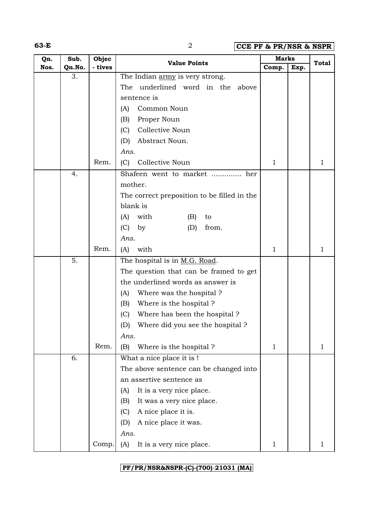**63-E** 2 **CCE PF & PR/NSR & NSPR**

| Qn.  | Sub.   | Objec   | <b>Value Points</b>                         | <b>Marks</b> |      | <b>Total</b> |
|------|--------|---------|---------------------------------------------|--------------|------|--------------|
| Nos. | Qn.No. | - tives |                                             | Comp.        | Exp. |              |
|      | 3.     |         | The Indian army is very strong.             |              |      |              |
|      |        |         | The underlined word in the above            |              |      |              |
|      |        |         | sentence is                                 |              |      |              |
|      |        |         | Common Noun<br>(A)                          |              |      |              |
|      |        |         | Proper Noun<br>(B)                          |              |      |              |
|      |        |         | Collective Noun<br>(C)                      |              |      |              |
|      |        |         | Abstract Noun.<br>(D)                       |              |      |              |
|      |        |         | Ans.                                        |              |      |              |
|      |        | Rem.    | (C)<br>Collective Noun                      | $\mathbf{1}$ |      | 1            |
|      | 4.     |         | Shafeen went to market<br>her               |              |      |              |
|      |        |         | mother.                                     |              |      |              |
|      |        |         | The correct preposition to be filled in the |              |      |              |
|      |        |         | blank is                                    |              |      |              |
|      |        |         | with<br>(A)<br>(B)<br>to                    |              |      |              |
|      |        |         | (C)<br>by<br>(D)<br>from.                   |              |      |              |
|      |        |         | Ans.                                        |              |      |              |
|      |        | Rem.    | with<br>(A)                                 | $\mathbf{1}$ |      | 1            |
|      | 5.     |         | The hospital is in M.G. Road.               |              |      |              |
|      |        |         | The question that can be framed to get      |              |      |              |
|      |        |         | the underlined words as answer is           |              |      |              |
|      |        |         | Where was the hospital?<br>(A)              |              |      |              |
|      |        |         | Where is the hospital?<br>(B)               |              |      |              |
|      |        |         | (C)<br>Where has been the hospital?         |              |      |              |
|      |        |         | Where did you see the hospital?<br>(D)      |              |      |              |
|      |        |         | Ans.                                        |              |      |              |
|      |        | Rem.    | (B)<br>Where is the hospital?               | $\mathbf{1}$ |      | 1            |
|      | 6.     |         | What a nice place it is !                   |              |      |              |
|      |        |         | The above sentence can be changed into      |              |      |              |
|      |        |         | an assertive sentence as                    |              |      |              |
|      |        |         | It is a very nice place.<br>(A)             |              |      |              |
|      |        |         | (B)<br>It was a very nice place.            |              |      |              |
|      |        |         | A nice place it is.<br>(C)                  |              |      |              |
|      |        |         | A nice place it was.<br>(D)                 |              |      |              |
|      |        |         | Ans.                                        |              |      |              |
|      |        | Comp.   | It is a very nice place.<br>(A)             | $\mathbf 1$  |      | 1            |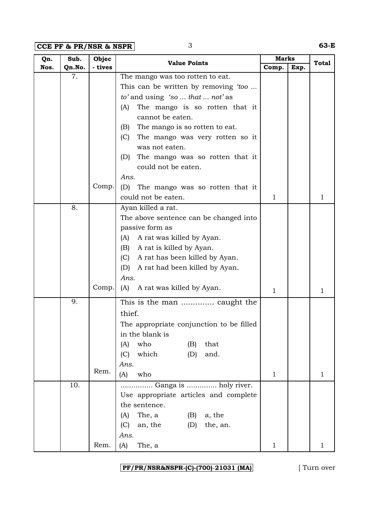**CCE PF & PR/NSR & NSPR** 3 **63-E**

| Qn.  | Sub.   | Objec   | <b>Value Points</b>                      | <b>Marks</b> |      | <b>Total</b> |
|------|--------|---------|------------------------------------------|--------------|------|--------------|
| Nos. | Qn.No. | - tives |                                          | Comp.        | Exp. |              |
|      | 7.     |         | The mango was too rotten to eat.         |              |      |              |
|      |        |         | This can be written by removing 'too     |              |      |              |
|      |        |         | to' and using 'so  that  not' as         |              |      |              |
|      |        |         | The mango is so rotten that it<br>(A)    |              |      |              |
|      |        |         | cannot be eaten.                         |              |      |              |
|      |        |         | The mango is so rotten to eat.<br>(B)    |              |      |              |
|      |        |         | (C)<br>The mango was very rotten so it   |              |      |              |
|      |        |         | was not eaten.                           |              |      |              |
|      |        |         | The mango was so rotten that it<br>(D)   |              |      |              |
|      |        |         | could not be eaten.                      |              |      |              |
|      |        |         | Ans.                                     |              |      |              |
|      |        | Comp.   | The mango was so rotten that it<br>(D)   |              |      |              |
|      |        |         | could not be eaten.                      | $\mathbf{1}$ |      | 1            |
|      | 8.     |         | Ayan killed a rat.                       |              |      |              |
|      |        |         | The above sentence can be changed into   |              |      |              |
|      |        |         | passive form as                          |              |      |              |
|      |        |         | A rat was killed by Ayan.<br>(A)         |              |      |              |
|      |        |         | (B)<br>A rat is killed by Ayan.          |              |      |              |
|      |        |         | (C)<br>A rat has been killed by Ayan.    |              |      |              |
|      |        |         | (D)<br>A rat had been killed by Ayan.    |              |      |              |
|      |        |         | Ans.                                     |              |      |              |
|      |        | Comp.   | (A)<br>A rat was killed by Ayan.         | 1            |      | $\mathbf{1}$ |
|      | 9.     |         | This is the man  caught the              |              |      |              |
|      |        |         | thief.                                   |              |      |              |
|      |        |         | The appropriate conjunction to be filled |              |      |              |
|      |        |         | in the blank is                          |              |      |              |
|      |        |         | who<br>that<br>(A)<br>(B)                |              |      |              |
|      |        |         | which<br>(C)<br>and.<br>(D)              |              |      |              |
|      |        |         | Ans.                                     |              |      |              |
|      |        | Rem.    | (A)<br>who                               | $\mathbf 1$  |      | $\mathbf{1}$ |
|      | 10.    |         | Ganga is  holy river.                    |              |      |              |
|      |        |         | Use appropriate articles and complete    |              |      |              |
|      |        |         | the sentence.                            |              |      |              |
|      |        |         | The, a<br>a, the<br>(A)<br>(B)           |              |      |              |
|      |        |         | (C)<br>an, the<br>the, an.<br>(D)        |              |      |              |
|      |        |         | Ans.                                     |              |      |              |
|      |        | Rem.    | (A)<br>The, a                            | $\mathbf 1$  |      | 1            |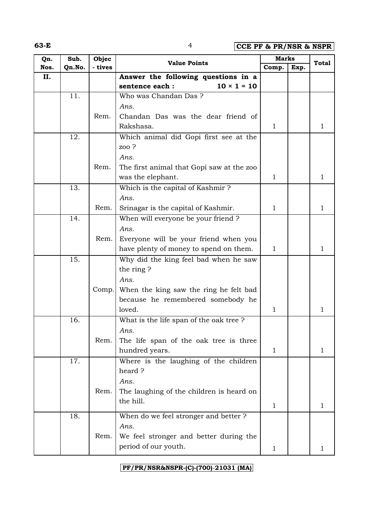**63-E** 4 **CCE PF & PR/NSR & NSPR**

| Qn.  | Sub.   | Objec   |                                           |              | <b>Marks</b> |              |
|------|--------|---------|-------------------------------------------|--------------|--------------|--------------|
| Nos. | Qn.No. | - tives | <b>Value Points</b>                       | Comp.        | Exp.         | <b>Total</b> |
| II.  |        |         | Answer the following questions in a       |              |              |              |
|      |        |         | sentence each :<br>$10 \times 1 = 10$     |              |              |              |
|      | 11.    |         | Who was Chandan Das?                      |              |              |              |
|      |        |         | Ans.                                      |              |              |              |
|      |        | Rem.    | Chandan Das was the dear friend of        |              |              |              |
|      |        |         | Rakshasa.                                 | $\mathbf{1}$ |              | 1            |
|      | 12.    |         | Which animal did Gopi first see at the    |              |              |              |
|      |        |         | zoo?                                      |              |              |              |
|      |        |         | Ans.                                      |              |              |              |
|      |        | Rem.    | The first animal that Gopi saw at the zoo |              |              |              |
|      |        |         | was the elephant.                         | $\mathbf{1}$ |              | 1            |
|      | 13.    |         | Which is the capital of Kashmir?          |              |              |              |
|      |        |         | Ans.                                      |              |              |              |
|      |        | Rem.    | Srinagar is the capital of Kashmir.       | $\mathbf{1}$ |              | $\mathbf{1}$ |
|      | 14.    |         | When will everyone be your friend ?       |              |              |              |
|      |        |         | Ans.                                      |              |              |              |
|      |        | Rem.    | Everyone will be your friend when you     |              |              |              |
|      |        |         | have plenty of money to spend on them.    | $\mathbf{1}$ |              | 1            |
|      | 15.    |         | Why did the king feel bad when he saw     |              |              |              |
|      |        |         | the ring?                                 |              |              |              |
|      |        |         | Ans.                                      |              |              |              |
|      |        | Comp.   | When the king saw the ring he felt bad    |              |              |              |
|      |        |         | because he remembered somebody he         |              |              |              |
|      |        |         | loved.                                    | $\mathbf{1}$ |              | 1            |
|      | 16.    |         | What is the life span of the oak tree?    |              |              |              |
|      |        |         | Ans.                                      |              |              |              |
|      |        | Rem.    | The life span of the oak tree is three    |              |              |              |
|      |        |         | hundred years.                            | $\mathbf{1}$ |              | 1            |
|      | 17.    |         | Where is the laughing of the children     |              |              |              |
|      |        |         | heard?                                    |              |              |              |
|      |        |         | Ans.                                      |              |              |              |
|      |        | Rem.    | The laughing of the children is heard on  |              |              |              |
|      |        |         | the hill.                                 | 1            |              | 1            |
|      | 18.    |         | When do we feel stronger and better ?     |              |              |              |
|      |        |         | Ans.                                      |              |              |              |
|      |        | Rem.    | We feel stronger and better during the    |              |              |              |
|      |        |         | period of our youth.                      | $\mathbf{1}$ |              | L            |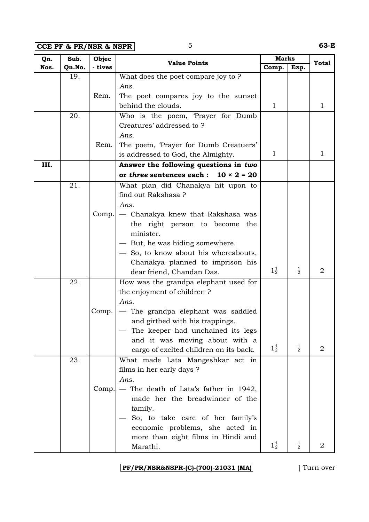**CCE PF & PR/NSR & NSPR** 5 **63-E**

| Sub.<br>Qn. |        | Objec   | <b>Value Points</b>                          | <b>Marks</b>   |               | <b>Total</b> |
|-------------|--------|---------|----------------------------------------------|----------------|---------------|--------------|
| Nos.        | Qn.No. | - tives |                                              | Comp.          | Exp.          |              |
|             | 19.    |         | What does the poet compare joy to ?          |                |               |              |
|             |        |         | Ans.                                         |                |               |              |
|             |        | Rem.    | The poet compares joy to the sunset          |                |               |              |
|             |        |         | behind the clouds.                           | $\mathbf{1}$   |               | 1            |
|             | 20.    |         | Who is the poem, 'Prayer for Dumb            |                |               |              |
|             |        |         | Creatures' addressed to ?                    |                |               |              |
|             |        |         | Ans.                                         |                |               |              |
|             |        | Rem.    | The poem, 'Prayer for Dumb Creatuers'        |                |               |              |
|             |        |         | is addressed to God, the Almighty.           | 1              |               | 1            |
| III.        |        |         | Answer the following questions in two        |                |               |              |
|             |        |         | or three sentences each : $10 \times 2 = 20$ |                |               |              |
|             | 21.    |         | What plan did Chanakya hit upon to           |                |               |              |
|             |        |         | find out Rakshasa ?                          |                |               |              |
|             |        |         | Ans.                                         |                |               |              |
|             |        | Comp.   | - Chanakya knew that Rakshasa was            |                |               |              |
|             |        |         | the right person to become the               |                |               |              |
|             |        |         | minister.                                    |                |               |              |
|             |        |         | - But, he was hiding somewhere.              |                |               |              |
|             |        |         | - So, to know about his whereabouts,         |                |               |              |
|             |        |         | Chanakya planned to imprison his             |                |               |              |
|             |        |         | dear friend, Chandan Das.                    | $1\frac{1}{2}$ | $\frac{1}{2}$ | 2            |
|             | 22.    |         | How was the grandpa elephant used for        |                |               |              |
|             |        |         | the enjoyment of children?                   |                |               |              |
|             |        |         | Ans.                                         |                |               |              |
|             |        | Comp.   | - The grandpa elephant was saddled           |                |               |              |
|             |        |         | and girthed with his trappings.              |                |               |              |
|             |        |         | - The keeper had unchained its legs          |                |               |              |
|             |        |         | and it was moving about with a               | $1\frac{1}{2}$ | $\frac{1}{2}$ | 2            |
|             |        |         | cargo of excited children on its back.       |                |               |              |
|             | 23.    |         | What made Lata Mangeshkar act in             |                |               |              |
|             |        |         | films in her early days ?                    |                |               |              |
|             |        |         | Ans.                                         |                |               |              |
|             |        | Comp.   | - The death of Lata's father in 1942,        |                |               |              |
|             |        |         | made her the breadwinner of the              |                |               |              |
|             |        |         | family.                                      |                |               |              |
|             |        |         | So, to take care of her family's             |                |               |              |
|             |        |         | economic problems, she acted in              |                |               |              |
|             |        |         | more than eight films in Hindi and           | $1\frac{1}{2}$ | $\frac{1}{2}$ | 2            |
|             |        |         | Marathi.                                     |                |               |              |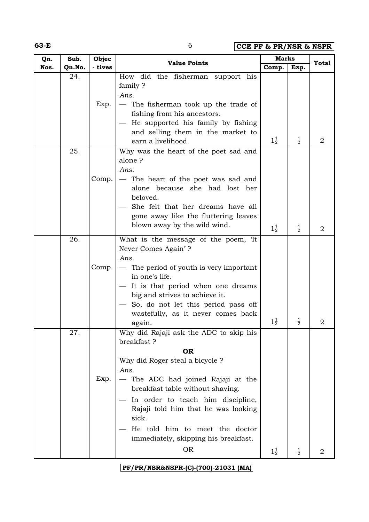**63-E** 6 **CCE PF & PR/NSR & NSPR**

| Qn.  | Sub.   | Objec   | <b>Value Points</b>                                                                                                                                                                                                                                                                                                                                                                   | <b>Marks</b>   |               | Total          |  |
|------|--------|---------|---------------------------------------------------------------------------------------------------------------------------------------------------------------------------------------------------------------------------------------------------------------------------------------------------------------------------------------------------------------------------------------|----------------|---------------|----------------|--|
| Nos. | Qn.No. | - tives |                                                                                                                                                                                                                                                                                                                                                                                       | Comp.          | Exp.          |                |  |
|      | 24.    | Exp.    | How did the fisherman support his<br>family?<br>Ans.<br>- The fisherman took up the trade of<br>fishing from his ancestors.                                                                                                                                                                                                                                                           |                |               |                |  |
|      |        |         | He supported his family by fishing<br>and selling them in the market to<br>earn a livelihood.                                                                                                                                                                                                                                                                                         | $1\frac{1}{2}$ | $\frac{1}{2}$ | 2              |  |
|      | 25.    | Comp.   | Why was the heart of the poet sad and<br>alone?<br>Ans.<br>- The heart of the poet was sad and<br>alone because she had lost her<br>beloved.<br>She felt that her dreams have all<br>gone away like the fluttering leaves<br>blown away by the wild wind.                                                                                                                             | $1\frac{1}{2}$ | $\frac{1}{2}$ | $\overline{2}$ |  |
|      | 26.    | Comp.   | What is the message of the poem, It<br>Never Comes Again'?<br>Ans.<br>- The period of youth is very important<br>in one's life.<br>It is that period when one dreams<br>big and strives to achieve it.<br>So, do not let this period pass off<br>wastefully, as it never comes back<br>again.                                                                                         | $1\frac{1}{2}$ | $\frac{1}{2}$ | 2              |  |
|      | 27.    | Exp.    | Why did Rajaji ask the ADC to skip his<br>breakfast?<br><b>OR</b><br>Why did Roger steal a bicycle ?<br>Ans.<br>The ADC had joined Rajaji at the<br>$\hspace{0.05cm}$<br>breakfast table without shaving.<br>In order to teach him discipline,<br>Rajaji told him that he was looking<br>sick.<br>He told him to meet the doctor<br>immediately, skipping his breakfast.<br><b>OR</b> | $1\frac{1}{2}$ | $\frac{1}{2}$ | 2              |  |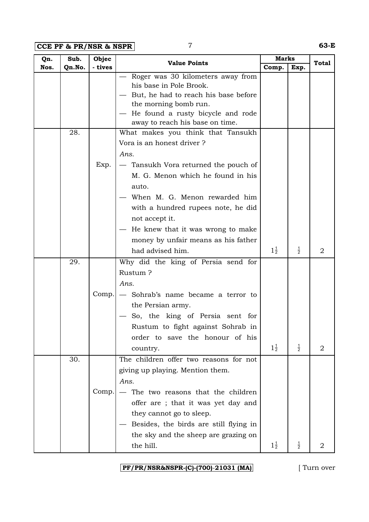**CCE PF & PR/NSR & NSPR** 7 **63-E**

| Qn.  | Sub.   | Objec   |                                                            | <b>Marks</b>   |               |       |
|------|--------|---------|------------------------------------------------------------|----------------|---------------|-------|
| Nos. | Qn.No. | - tives | <b>Value Points</b>                                        | Comp.          | Exp.          | Total |
|      |        |         | Roger was 30 kilometers away from                          |                |               |       |
|      |        |         | his base in Pole Brook.                                    |                |               |       |
|      |        |         | But, he had to reach his base before                       |                |               |       |
|      |        |         | the morning bomb run.<br>He found a rusty bicycle and rode |                |               |       |
|      |        |         | away to reach his base on time.                            |                |               |       |
|      | 28.    |         | What makes you think that Tansukh                          |                |               |       |
|      |        |         | Vora is an honest driver?                                  |                |               |       |
|      |        |         | Ans.                                                       |                |               |       |
|      |        | Exp.    | Tansukh Vora returned the pouch of                         |                |               |       |
|      |        |         | M. G. Menon which he found in his                          |                |               |       |
|      |        |         | auto.                                                      |                |               |       |
|      |        |         | When M. G. Menon rewarded him                              |                |               |       |
|      |        |         | with a hundred rupees note, he did                         |                |               |       |
|      |        |         | not accept it.                                             |                |               |       |
|      |        |         | He knew that it was wrong to make                          |                |               |       |
|      |        |         | money by unfair means as his father                        |                |               |       |
|      |        |         | had advised him.                                           | $1\frac{1}{2}$ | $\frac{1}{2}$ | 2     |
|      | 29.    |         | Why did the king of Persia send for                        |                |               |       |
|      |        |         | Rustum?                                                    |                |               |       |
|      |        |         | Ans.                                                       |                |               |       |
|      |        | Comp.   | - Sohrab's name became a terror to                         |                |               |       |
|      |        |         | the Persian army.                                          |                |               |       |
|      |        |         |                                                            |                |               |       |
|      |        |         | So, the king of Persia sent for                            |                |               |       |
|      |        |         | Rustum to fight against Sohrab in                          |                |               |       |
|      |        |         | order to save the honour of his                            |                |               |       |
|      |        |         | country.                                                   | $1\frac{1}{2}$ | $\frac{1}{2}$ | 2     |
|      | 30.    |         | The children offer two reasons for not                     |                |               |       |
|      |        |         | giving up playing. Mention them.                           |                |               |       |
|      |        |         | Ans.                                                       |                |               |       |
|      |        | Comp.   | The two reasons that the children                          |                |               |       |
|      |        |         | offer are ; that it was yet day and                        |                |               |       |
|      |        |         | they cannot go to sleep.                                   |                |               |       |
|      |        |         | Besides, the birds are still flying in                     |                |               |       |
|      |        |         | the sky and the sheep are grazing on                       |                |               |       |
|      |        |         | the hill.                                                  | $1\frac{1}{2}$ | $\frac{1}{2}$ | 2     |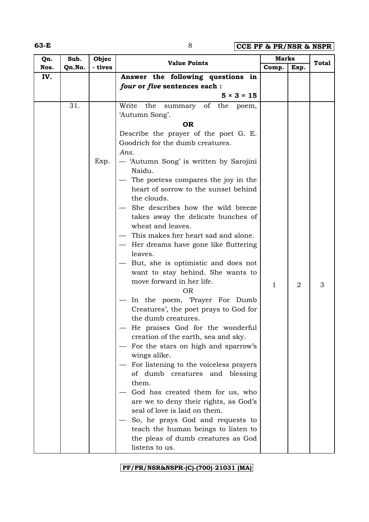**63-E** 8 **CCE PF & PR/NSR & NSPR**

| Qn.  | Sub.   | Objec   | <b>Value Points</b>                                 | <b>Marks</b> |                | <b>Total</b> |
|------|--------|---------|-----------------------------------------------------|--------------|----------------|--------------|
| Nos. | Qn.No. | - tives |                                                     | Comp.        | Exp.           |              |
| IV.  |        |         | Answer the following questions in                   |              |                |              |
|      |        |         | four or five sentences each :                       |              |                |              |
|      |        |         | $5 \times 3 = 15$                                   |              |                |              |
|      | 31.    |         | Write<br>the<br>summary of the<br>poem,             |              |                |              |
|      |        |         | 'Autumn Song'.                                      |              |                |              |
|      |        |         | <b>OR</b>                                           |              |                |              |
|      |        |         | Describe the prayer of the poet G. E.               |              |                |              |
|      |        |         | Goodrich for the dumb creatures.                    |              |                |              |
|      |        |         | Ans.                                                |              |                |              |
|      |        | Exp.    | — 'Autumn Song' is written by Sarojini<br>Naidu.    |              |                |              |
|      |        |         | The poetess compares the joy in the                 |              |                |              |
|      |        |         | heart of sorrow to the sunset behind                |              |                |              |
|      |        |         | the clouds.                                         |              |                |              |
|      |        |         | She describes how the wild breeze                   |              |                |              |
|      |        |         | takes away the delicate bunches of                  |              |                |              |
|      |        |         | wheat and leaves.                                   |              |                |              |
|      |        |         | This makes her heart sad and alone.                 |              |                |              |
|      |        |         | - Her dreams have gone like fluttering              |              |                |              |
|      |        |         | leaves.                                             |              |                |              |
|      |        |         | But, she is optimistic and does not                 |              |                |              |
|      |        |         | want to stay behind. She wants to                   |              |                |              |
|      |        |         | move forward in her life.                           | $\mathbf{1}$ | $\overline{2}$ | 3            |
|      |        |         | <b>OR</b>                                           |              |                |              |
|      |        |         | In the poem, 'Prayer For Dumb                       |              |                |              |
|      |        |         | Creatures', the poet prays to God for               |              |                |              |
|      |        |         | the dumb creatures.                                 |              |                |              |
|      |        |         | He praises God for the wonderful                    |              |                |              |
|      |        |         | creation of the earth, sea and sky.                 |              |                |              |
|      |        |         | For the stars on high and sparrow's<br>wings alike. |              |                |              |
|      |        |         | For listening to the voiceless prayers              |              |                |              |
|      |        |         | of dumb creatures and blessing                      |              |                |              |
|      |        |         | them.                                               |              |                |              |
|      |        |         | God has created them for us, who                    |              |                |              |
|      |        |         | are we to deny their rights, as God's               |              |                |              |
|      |        |         | seal of love is laid on them.                       |              |                |              |
|      |        |         | So, he prays God and requests to                    |              |                |              |
|      |        |         | teach the human beings to listen to                 |              |                |              |
|      |        |         | the pleas of dumb creatures as God                  |              |                |              |
|      |        |         | listens to us.                                      |              |                |              |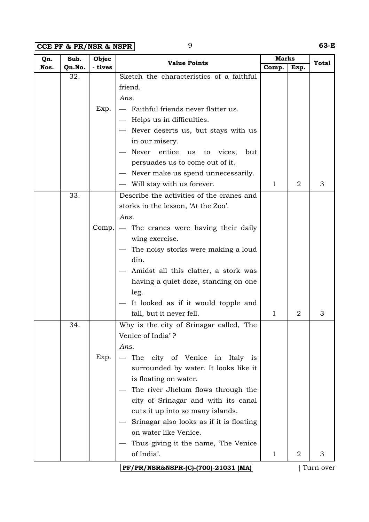**CCE PF & PR/NSR & NSPR** 9 **63-E**

| Qn.  | Sub.   | Objec   | <b>Value Points</b>                       | <b>Marks</b> |      | Total     |  |
|------|--------|---------|-------------------------------------------|--------------|------|-----------|--|
| Nos. | Qn.No. | - tives |                                           | Comp.        | Exp. |           |  |
|      | 32.    |         | Sketch the characteristics of a faithful  |              |      |           |  |
|      |        |         | friend.                                   |              |      |           |  |
|      |        |         | Ans.                                      |              |      |           |  |
|      |        | Exp.    | - Faithful friends never flatter us.      |              |      |           |  |
|      |        |         | - Helps us in difficulties.               |              |      |           |  |
|      |        |         | Never deserts us, but stays with us       |              |      |           |  |
|      |        |         | in our misery.                            |              |      |           |  |
|      |        |         | Never entice us to vices,<br>but          |              |      |           |  |
|      |        |         | persuades us to come out of it.           |              |      |           |  |
|      |        |         | Never make us spend unnecessarily.        |              |      |           |  |
|      |        |         | - Will stay with us forever.              | $\mathbf{1}$ | 2    | 3         |  |
|      | 33.    |         | Describe the activities of the cranes and |              |      |           |  |
|      |        |         | storks in the lesson, 'At the Zoo'.       |              |      |           |  |
|      |        |         | Ans.                                      |              |      |           |  |
|      |        | Comp.   | - The cranes were having their daily      |              |      |           |  |
|      |        |         | wing exercise.                            |              |      |           |  |
|      |        |         | The noisy storks were making a loud       |              |      |           |  |
|      |        |         | din.                                      |              |      |           |  |
|      |        |         | Amidst all this clatter, a stork was      |              |      |           |  |
|      |        |         | having a quiet doze, standing on one      |              |      |           |  |
|      |        |         | leg.                                      |              |      |           |  |
|      |        |         | It looked as if it would topple and       |              |      |           |  |
|      |        |         | fall, but it never fell.                  | $\mathbf{1}$ | 2    | 3         |  |
|      | 34.    |         | Why is the city of Srinagar called, The   |              |      |           |  |
|      |        |         | Venice of India'?                         |              |      |           |  |
|      |        |         | Ans.                                      |              |      |           |  |
|      |        | Exp.    | The city of Venice in Italy is            |              |      |           |  |
|      |        |         | surrounded by water. It looks like it     |              |      |           |  |
|      |        |         | is floating on water.                     |              |      |           |  |
|      |        |         | The river Jhelum flows through the        |              |      |           |  |
|      |        |         | city of Srinagar and with its canal       |              |      |           |  |
|      |        |         | cuts it up into so many islands.          |              |      |           |  |
|      |        |         | Srinagar also looks as if it is floating  |              |      |           |  |
|      |        |         | on water like Venice.                     |              |      |           |  |
|      |        |         | Thus giving it the name, The Venice       |              |      |           |  |
|      |        |         | of India'.                                | $\mathbf{1}$ | 2    | 3         |  |
|      |        |         | PF/PR/NSR&NSPR-(C)-(700)-21031 (MA)       |              |      | Turn over |  |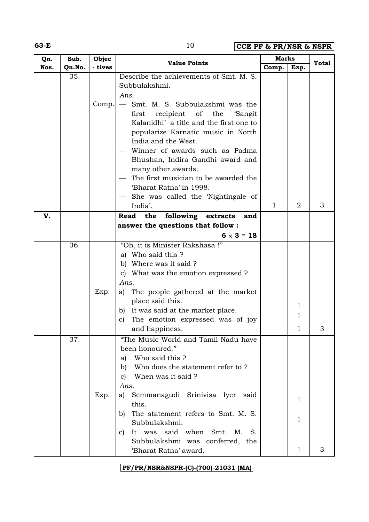**63-E** 10 **CCE PF & PR/NSR & NSPR**

| Qn.  | Sub.   | Objec   | <b>Value Points</b>                                                                                                                                                                                                                                                                                                                                                                           | <b>Marks</b> |                                 | <b>Total</b> |
|------|--------|---------|-----------------------------------------------------------------------------------------------------------------------------------------------------------------------------------------------------------------------------------------------------------------------------------------------------------------------------------------------------------------------------------------------|--------------|---------------------------------|--------------|
| Nos. | Qn.No. | - tives |                                                                                                                                                                                                                                                                                                                                                                                               | Comp.        | Exp.                            |              |
|      | 35.    | Comp.   | Describe the achievements of Smt. M. S.<br>Subbulakshmi.<br>Ans.<br>Smt. M. S. Subbulakshmi was the<br>first<br>recipient<br>of<br>the<br>'Sangit<br>Kalanidhi' a title and the first one to<br>popularize Karnatic music in North<br>India and the West.<br>Winner of awards such as Padma<br>Bhushan, Indira Gandhi award and<br>many other awards.<br>The first musician to be awarded the |              |                                 |              |
|      |        |         | 'Bharat Ratna' in 1998.<br>She was called the 'Nightingale of<br>India'.                                                                                                                                                                                                                                                                                                                      | $\mathbf{1}$ | 2                               | 3            |
| V.   |        |         | Read<br>the<br>following<br>and<br>extracts                                                                                                                                                                                                                                                                                                                                                   |              |                                 |              |
|      |        |         | answer the questions that follow:                                                                                                                                                                                                                                                                                                                                                             |              |                                 |              |
|      |        |         | $6 \times 3 = 18$                                                                                                                                                                                                                                                                                                                                                                             |              |                                 |              |
|      | 36.    |         | "Oh, it is Minister Rakshasa !"                                                                                                                                                                                                                                                                                                                                                               |              |                                 |              |
|      |        | Exp.    | a) Who said this?<br>b) Where was it said?<br>c) What was the emotion expressed ?<br>Ans.<br>The people gathered at the market<br>a)<br>place said this.<br>It was said at the market place.<br>b)<br>The emotion expressed was of joy<br>C)<br>and happiness.                                                                                                                                |              | $\mathbf{1}$<br>1               | З            |
|      | 37.    | Exp.    | "The Music World and Tamil Nadu have<br>been honoured."<br>Who said this?<br>a)<br>b) Who does the statement refer to ?<br>c) When was it said ?<br>Ans.<br>Semmanagudi Srinivisa Iyer said<br>a)<br>this.<br>The statement refers to Smt. M. S.<br>b)<br>Subbulakshmi.<br>It was said when Smt. M.<br>S.<br>C)<br>Subbulakshmi was conferred, the<br>'Bharat Ratna' award.                   |              | 1<br>$\mathbf 1$<br>$\mathbf 1$ | 3            |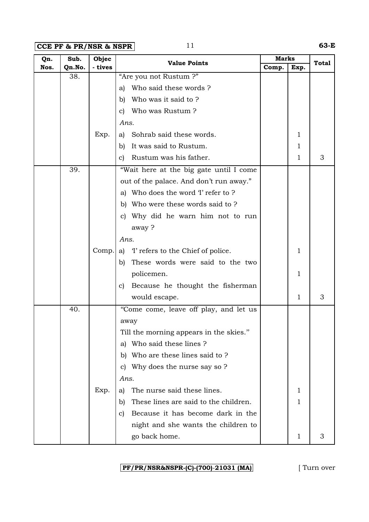**CCE PF & PR/NSR & NSPR** 11 **63-E**

| Qn.  | Sub.   | Objec   | <b>Value Points</b>                               | <b>Marks</b> |              | <b>Total</b> |
|------|--------|---------|---------------------------------------------------|--------------|--------------|--------------|
| Nos. | Qn.No. | - tives |                                                   | Comp.        | Exp.         |              |
|      | 38.    |         | "Are you not Rustum?"                             |              |              |              |
|      |        |         | Who said these words?<br>a)                       |              |              |              |
|      |        |         | Who was it said to ?<br>b)                        |              |              |              |
|      |        |         | Who was Rustum?<br>C)                             |              |              |              |
|      |        |         | Ans.                                              |              |              |              |
|      |        | Exp.    | Sohrab said these words.<br>a)                    |              | 1            |              |
|      |        |         | It was said to Rustum.<br>b)                      |              | 1            |              |
|      |        |         | Rustum was his father.<br>$\mathbf{c}$            |              | 1            | 3            |
|      | 39.    |         | "Wait here at the big gate until I come           |              |              |              |
|      |        |         | out of the palace. And don't run away."           |              |              |              |
|      |        |         | Who does the word T refer to ?<br>a)              |              |              |              |
|      |        |         | Who were these words said to?<br>b)               |              |              |              |
|      |        |         | Why did he warn him not to run<br>C)              |              |              |              |
|      |        |         | away?                                             |              |              |              |
|      |        |         | Ans.                                              |              |              |              |
|      |        | Comp.   | T' refers to the Chief of police.<br>a)           |              | 1            |              |
|      |        |         | These words were said to the two<br>b)            |              |              |              |
|      |        |         | policemen.                                        |              | $\mathbf{1}$ |              |
|      |        |         | Because he thought the fisherman<br>C)            |              |              |              |
|      |        |         | would escape.                                     |              | 1            | 3            |
|      | 40.    |         | "Come come, leave off play, and let us            |              |              |              |
|      |        |         | away                                              |              |              |              |
|      |        |         | Till the morning appears in the skies."           |              |              |              |
|      |        |         | Who said these lines ?<br>a)                      |              |              |              |
|      |        |         | Who are these lines said to ?<br>b)               |              |              |              |
|      |        |         | Why does the nurse say so ?<br>C)                 |              |              |              |
|      |        |         | Ans.                                              |              |              |              |
|      |        | Exp.    | The nurse said these lines.<br>a)                 |              | 1            |              |
|      |        |         | These lines are said to the children.<br>b)       |              | 1            |              |
|      |        |         | Because it has become dark in the<br>$\mathbf{C}$ |              |              |              |
|      |        |         | night and she wants the children to               |              |              |              |
|      |        |         | go back home.                                     |              | 1            | 3            |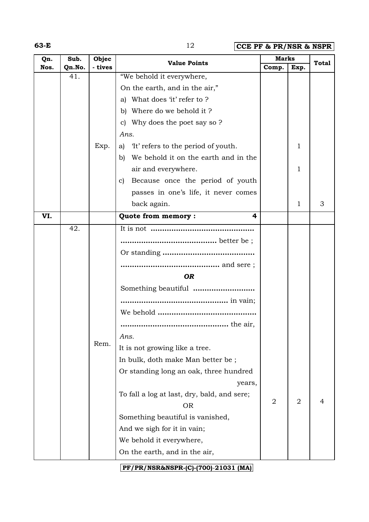**63-E** 12 **CCE PF & PR/NSR & NSPR**

| Qn.  | Sub.   | Objec                         | <b>Value Points</b>                              | <b>Marks</b>   |                | <b>Total</b> |
|------|--------|-------------------------------|--------------------------------------------------|----------------|----------------|--------------|
| Nos. | Qn.No. | - tives                       |                                                  | Comp.          | Exp.           |              |
|      | 41.    |                               | "We behold it everywhere,                        |                |                |              |
|      |        |                               | On the earth, and in the air,"                   |                |                |              |
|      |        |                               | What does 'it' refer to ?<br>a)                  |                |                |              |
|      |        |                               | Where do we behold it?<br>b)                     |                |                |              |
|      |        |                               | Why does the poet say so ?<br>C)                 |                |                |              |
|      |        |                               | Ans.                                             |                |                |              |
|      |        | Exp.                          | It' refers to the period of youth.<br>a)         |                | 1              |              |
|      |        |                               | We behold it on the earth and in the<br>b)       |                |                |              |
|      |        |                               | air and everywhere.                              |                | 1              |              |
|      |        |                               | Because once the period of youth<br>$\mathbf{C}$ |                |                |              |
|      |        |                               | passes in one's life, it never comes             |                |                |              |
|      |        |                               | back again.                                      |                | 1              | 3            |
| VI.  |        |                               | Quote from memory:<br>$\overline{\mathbf{4}}$    |                |                |              |
|      | 42.    |                               |                                                  |                |                |              |
|      |        |                               |                                                  |                |                |              |
|      |        |                               |                                                  |                |                |              |
|      |        |                               |                                                  |                |                |              |
|      |        |                               | <b>OR</b>                                        |                |                |              |
|      |        |                               |                                                  |                |                |              |
|      |        |                               |                                                  |                |                |              |
|      |        |                               |                                                  |                |                |              |
|      |        |                               |                                                  |                |                |              |
|      |        |                               | Ans.                                             |                |                |              |
|      |        | Rem.                          | It is not growing like a tree.                   |                |                |              |
|      |        |                               | In bulk, doth make Man better be;                |                |                |              |
|      |        |                               | Or standing long an oak, three hundred           |                |                |              |
|      |        |                               | years,                                           |                |                |              |
|      |        |                               | To fall a log at last, dry, bald, and sere;      |                |                |              |
|      |        |                               | <b>OR</b>                                        | $\overline{2}$ | $\overline{2}$ | 4            |
|      |        |                               | Something beautiful is vanished,                 |                |                |              |
|      |        |                               | And we sigh for it in vain;                      |                |                |              |
|      |        |                               | We behold it everywhere,                         |                |                |              |
|      |        | On the earth, and in the air, |                                                  |                |                |              |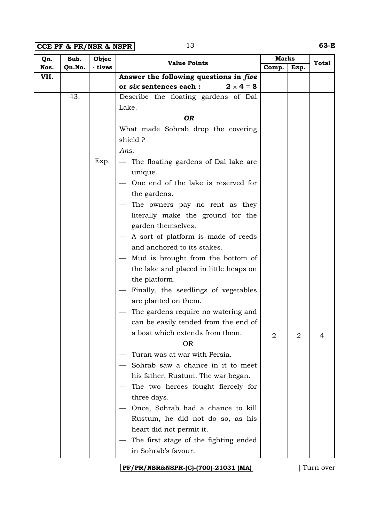**CCE PF & PR/NSR & NSPR** 13 **63-E**

| Sub.<br>Qn.    | Objec   | <b>Value Points</b>                                 | <b>Marks</b>   |      | <b>Total</b> |
|----------------|---------|-----------------------------------------------------|----------------|------|--------------|
| Nos.<br>Qn.No. | - tives |                                                     | Comp.          | Exp. |              |
| VII.           |         | Answer the following questions in five              |                |      |              |
|                |         | or six sentences each :<br>$2 \times 4 = 8$         |                |      |              |
| 43.            |         | Describe the floating gardens of Dal                |                |      |              |
|                |         | Lake.                                               |                |      |              |
|                |         | <b>OR</b>                                           |                |      |              |
|                |         | What made Sohrab drop the covering                  |                |      |              |
|                |         | shield?                                             |                |      |              |
|                |         | Ans.                                                |                |      |              |
|                | Exp.    | - The floating gardens of Dal lake are              |                |      |              |
|                |         | unique.                                             |                |      |              |
|                |         | One end of the lake is reserved for<br>the gardens. |                |      |              |
|                |         | The owners pay no rent as they                      |                |      |              |
|                |         | literally make the ground for the                   |                |      |              |
|                |         | garden themselves.                                  |                |      |              |
|                |         | A sort of platform is made of reeds                 |                |      |              |
|                |         | and anchored to its stakes.                         |                |      |              |
|                |         | - Mud is brought from the bottom of                 |                |      |              |
|                |         | the lake and placed in little heaps on              |                |      |              |
|                |         | the platform.                                       |                |      |              |
|                |         | Finally, the seedlings of vegetables                |                |      |              |
|                |         | are planted on them.                                |                |      |              |
|                |         | The gardens require no watering and                 |                |      |              |
|                |         | can be easily tended from the end of                |                |      |              |
|                |         | a boat which extends from them.                     | $\overline{2}$ | 2    | 4            |
|                |         | <b>OR</b>                                           |                |      |              |
|                |         | Turan was at war with Persia.                       |                |      |              |
|                |         | Sohrab saw a chance in it to meet                   |                |      |              |
|                |         | his father, Rustum. The war began.                  |                |      |              |
|                |         | The two heroes fought fiercely for                  |                |      |              |
|                |         | three days.                                         |                |      |              |
|                |         | Once, Sohrab had a chance to kill                   |                |      |              |
|                |         | Rustum, he did not do so, as his                    |                |      |              |
|                |         | heart did not permit it.                            |                |      |              |
|                |         | The first stage of the fighting ended               |                |      |              |
|                |         | in Sohrab's favour.                                 |                |      |              |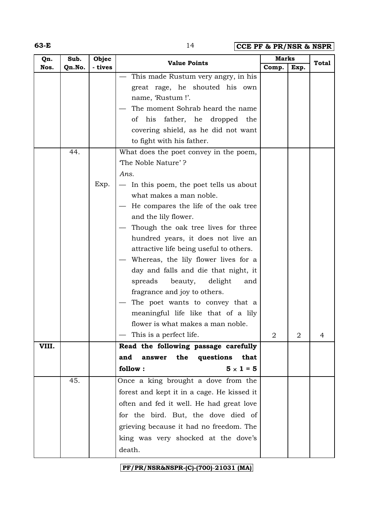**63-E** 14 **CCE PF & PR/NSR & NSPR**

| Qn.   | Sub.   | Objec   |                                                                                                                                                                                                                                                                                                                                                                                                                                                                                                                   | <b>Marks</b>   |                |              |
|-------|--------|---------|-------------------------------------------------------------------------------------------------------------------------------------------------------------------------------------------------------------------------------------------------------------------------------------------------------------------------------------------------------------------------------------------------------------------------------------------------------------------------------------------------------------------|----------------|----------------|--------------|
| Nos.  | Qn.No. | - tives | <b>Value Points</b>                                                                                                                                                                                                                                                                                                                                                                                                                                                                                               | Comp.          | Exp.           | <b>Total</b> |
|       |        |         | This made Rustum very angry, in his<br>great rage, he shouted his own<br>name, 'Rustum!'.<br>The moment Sohrab heard the name<br>his father, he dropped the<br>of<br>covering shield, as he did not want<br>to fight with his father.                                                                                                                                                                                                                                                                             |                |                |              |
|       | 44.    | Exp.    | What does the poet convey in the poem,<br>The Noble Nature'?<br>Ans.<br>- In this poem, the poet tells us about                                                                                                                                                                                                                                                                                                                                                                                                   |                |                |              |
|       |        |         | what makes a man noble.<br>He compares the life of the oak tree<br>and the lily flower.<br>Though the oak tree lives for three<br>hundred years, it does not live an<br>attractive life being useful to others.<br>Whereas, the lily flower lives for a<br>day and falls and die that night, it<br>beauty,<br>spreads<br>delight<br>and<br>fragrance and joy to others.<br>The poet wants to convey that a<br>meaningful life like that of a lily<br>flower is what makes a man noble.<br>This is a perfect life. | $\overline{2}$ | $\overline{2}$ | 4            |
| VIII. |        |         | Read the following passage carefully                                                                                                                                                                                                                                                                                                                                                                                                                                                                              |                |                |              |
|       |        |         | and<br>answer<br>the<br>questions<br>that                                                                                                                                                                                                                                                                                                                                                                                                                                                                         |                |                |              |
|       |        |         | follow:<br>$5 \times 1 = 5$                                                                                                                                                                                                                                                                                                                                                                                                                                                                                       |                |                |              |
|       | 45.    |         | Once a king brought a dove from the<br>forest and kept it in a cage. He kissed it<br>often and fed it well. He had great love<br>for the bird. But, the dove died of<br>grieving because it had no freedom. The<br>king was very shocked at the dove's<br>death.                                                                                                                                                                                                                                                  |                |                |              |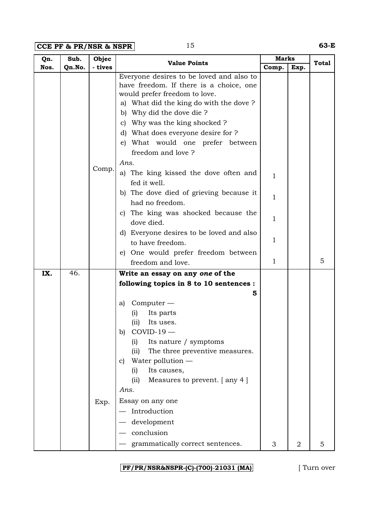**CCE PF & PR/NSR & NSPR** 15 **63-E**

| Qn.  | Objec<br>Sub.     | <b>Value Points</b>                                                                                                                                                                                                                                                                                                                 | <b>Marks</b> |                | <b>Total</b> |
|------|-------------------|-------------------------------------------------------------------------------------------------------------------------------------------------------------------------------------------------------------------------------------------------------------------------------------------------------------------------------------|--------------|----------------|--------------|
| Nos. | - tives<br>Qn.No. |                                                                                                                                                                                                                                                                                                                                     | Comp.        | Exp.           |              |
|      |                   | Everyone desires to be loved and also to<br>have freedom. If there is a choice, one<br>would prefer freedom to love.<br>a) What did the king do with the dove?<br>b) Why did the dove die ?<br>c) Why was the king shocked ?<br>d) What does everyone desire for ?<br>e) What would one prefer between<br>freedom and love?         |              |                |              |
|      | Comp.             | Ans.<br>a) The king kissed the dove often and<br>fed it well.                                                                                                                                                                                                                                                                       | $\mathbf{1}$ |                |              |
|      |                   | b) The dove died of grieving because it<br>had no freedom.                                                                                                                                                                                                                                                                          | 1            |                |              |
|      |                   | The king was shocked because the<br>C)<br>dove died.                                                                                                                                                                                                                                                                                | 1            |                |              |
|      |                   | d) Everyone desires to be loved and also<br>to have freedom.                                                                                                                                                                                                                                                                        | 1            |                |              |
|      |                   | e) One would prefer freedom between<br>freedom and love.                                                                                                                                                                                                                                                                            | 1            |                | 5            |
| IX.  | 46.               | Write an essay on any one of the                                                                                                                                                                                                                                                                                                    |              |                |              |
|      |                   | following topics in 8 to 10 sentences :                                                                                                                                                                                                                                                                                             |              |                |              |
|      | Exp.              | 5<br>$Computer-$<br>a)<br>(i)<br>Its parts<br>(ii)<br>Its uses.<br>$COVID-19$ –<br>b)<br>(i)<br>Its nature / symptoms<br>The three preventive measures.<br>(ii)<br>Water pollution $-$<br>C)<br>Its causes,<br>(i)<br>Measures to prevent. [any 4]<br>(ii)<br>Ans.<br>Essay on any one<br>Introduction<br>development<br>conclusion |              |                | 5            |
|      |                   | grammatically correct sentences.                                                                                                                                                                                                                                                                                                    | 3            | $\overline{2}$ |              |